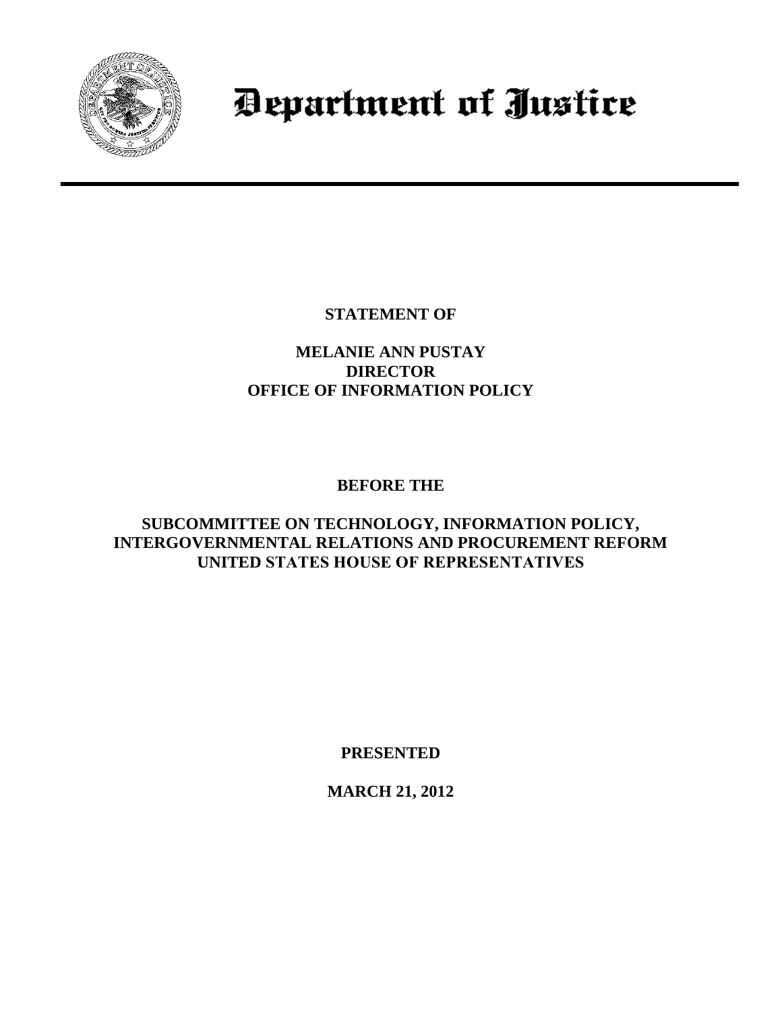

## Department of Justice

**STATEMENT OF**

## **MELANIE ANN PUSTAY DIRECTOR OFFICE OF INFORMATION POLICY**

## **BEFORE THE**

## **SUBCOMMITTEE ON TECHNOLOGY, INFORMATION POLICY, INTERGOVERNMENTAL RELATIONS AND PROCUREMENT REFORM UNITED STATES HOUSE OF REPRESENTATIVES**

**PRESENTED** 

**MARCH 21, 2012**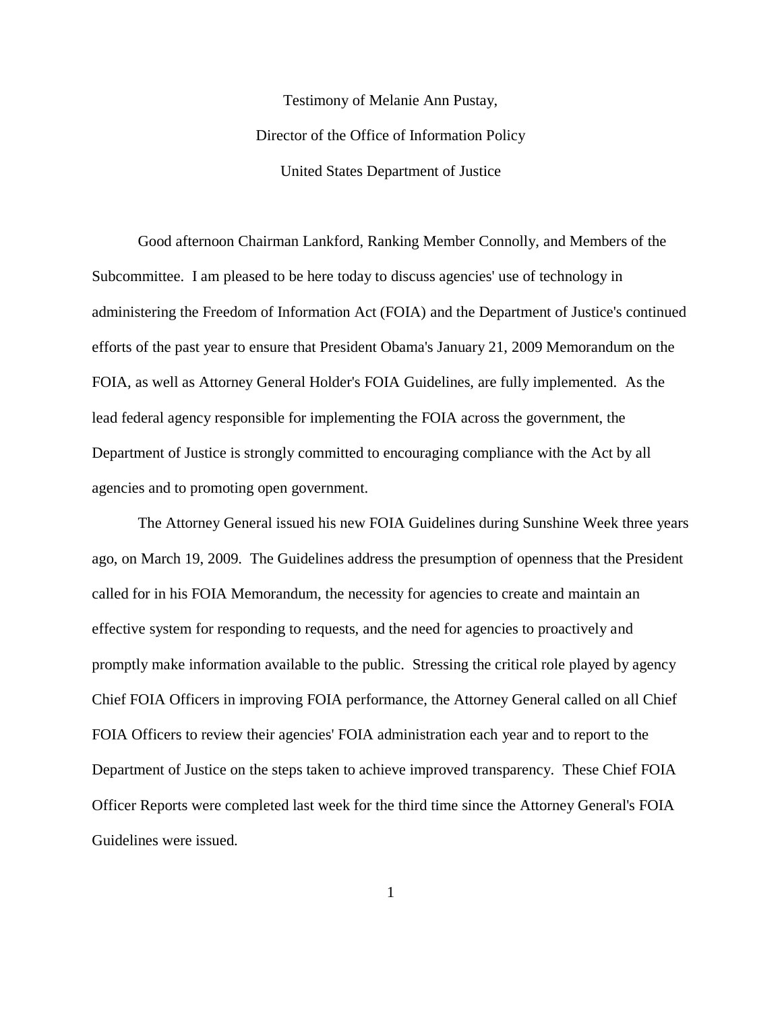Testimony of Melanie Ann Pustay, Director of the Office of Information Policy United States Department of Justice

Good afternoon Chairman Lankford, Ranking Member Connolly, and Members of the Subcommittee. I am pleased to be here today to discuss agencies' use of technology in administering the Freedom of Information Act (FOIA) and the Department of Justice's continued efforts of the past year to ensure that President Obama's January 21, 2009 Memorandum on the FOIA, as well as Attorney General Holder's FOIA Guidelines, are fully implemented. As the lead federal agency responsible for implementing the FOIA across the government, the Department of Justice is strongly committed to encouraging compliance with the Act by all agencies and to promoting open government.

The Attorney General issued his new FOIA Guidelines during Sunshine Week three years ago, on March 19, 2009. The Guidelines address the presumption of openness that the President called for in his FOIA Memorandum, the necessity for agencies to create and maintain an effective system for responding to requests, and the need for agencies to proactively and promptly make information available to the public. Stressing the critical role played by agency Chief FOIA Officers in improving FOIA performance, the Attorney General called on all Chief FOIA Officers to review their agencies' FOIA administration each year and to report to the Department of Justice on the steps taken to achieve improved transparency. These Chief FOIA Officer Reports were completed last week for the third time since the Attorney General's FOIA Guidelines were issued.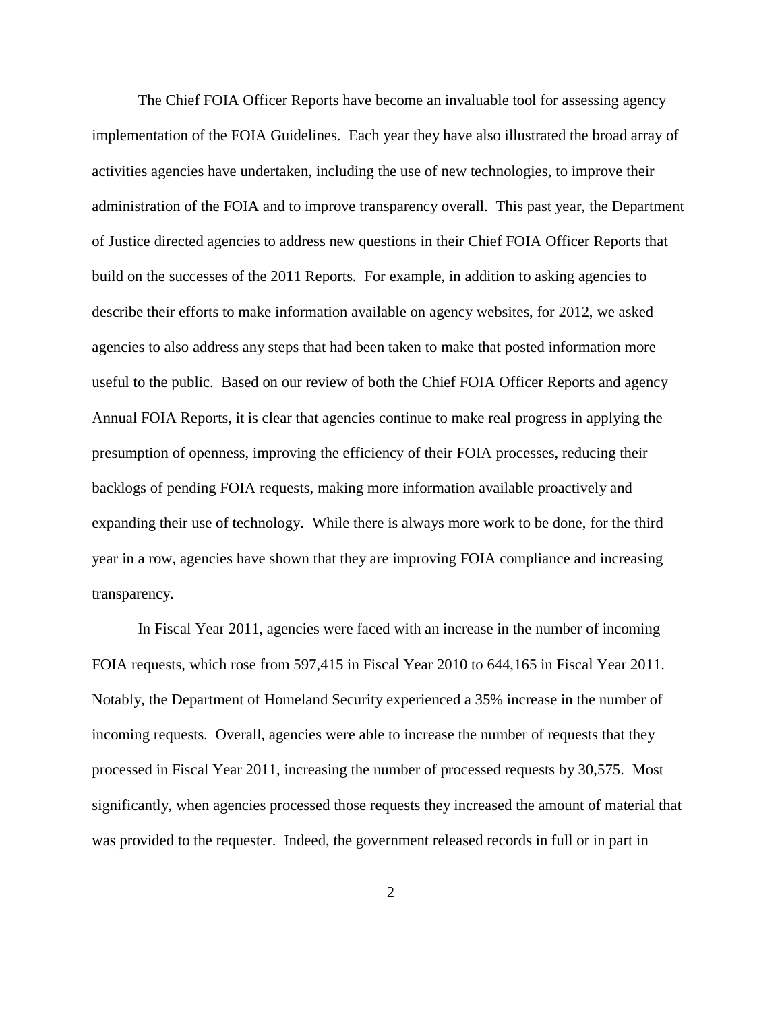The Chief FOIA Officer Reports have become an invaluable tool for assessing agency implementation of the FOIA Guidelines. Each year they have also illustrated the broad array of activities agencies have undertaken, including the use of new technologies, to improve their administration of the FOIA and to improve transparency overall. This past year, the Department of Justice directed agencies to address new questions in their Chief FOIA Officer Reports that build on the successes of the 2011 Reports. For example, in addition to asking agencies to describe their efforts to make information available on agency websites, for 2012, we asked agencies to also address any steps that had been taken to make that posted information more useful to the public. Based on our review of both the Chief FOIA Officer Reports and agency Annual FOIA Reports, it is clear that agencies continue to make real progress in applying the presumption of openness, improving the efficiency of their FOIA processes, reducing their backlogs of pending FOIA requests, making more information available proactively and expanding their use of technology. While there is always more work to be done, for the third year in a row, agencies have shown that they are improving FOIA compliance and increasing transparency.

In Fiscal Year 2011, agencies were faced with an increase in the number of incoming FOIA requests, which rose from 597,415 in Fiscal Year 2010 to 644,165 in Fiscal Year 2011. Notably, the Department of Homeland Security experienced a 35% increase in the number of incoming requests. Overall, agencies were able to increase the number of requests that they processed in Fiscal Year 2011, increasing the number of processed requests by 30,575. Most significantly, when agencies processed those requests they increased the amount of material that was provided to the requester. Indeed, the government released records in full or in part in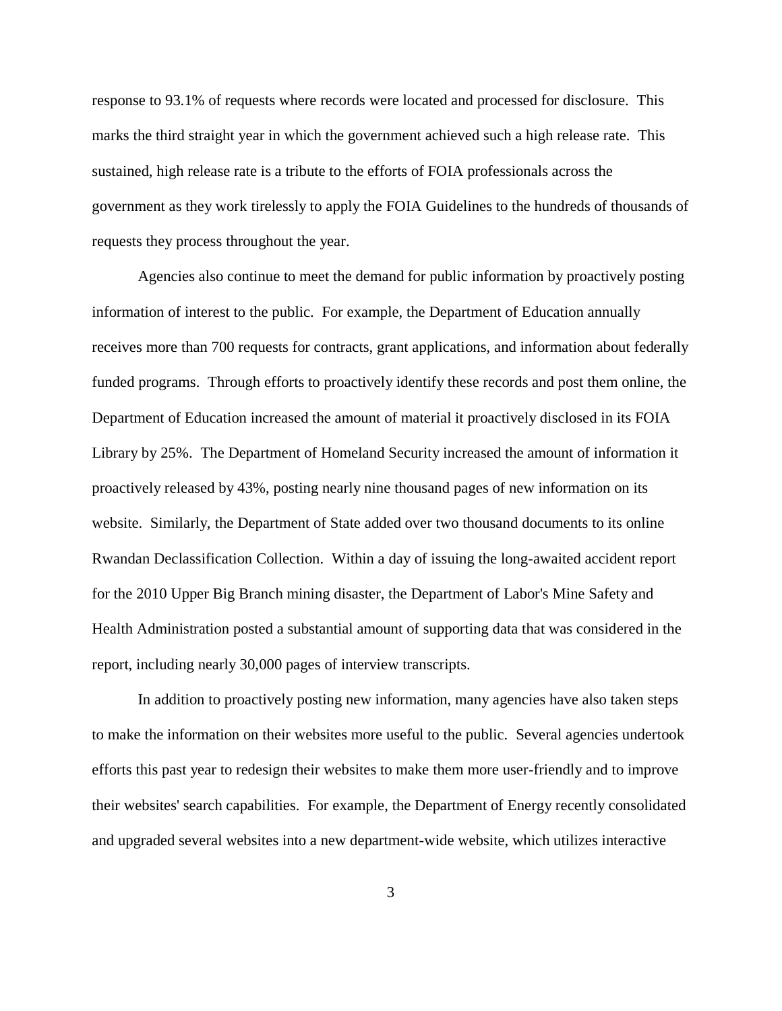response to 93.1% of requests where records were located and processed for disclosure. This marks the third straight year in which the government achieved such a high release rate. This sustained, high release rate is a tribute to the efforts of FOIA professionals across the government as they work tirelessly to apply the FOIA Guidelines to the hundreds of thousands of requests they process throughout the year.

Agencies also continue to meet the demand for public information by proactively posting information of interest to the public. For example, the Department of Education annually receives more than 700 requests for contracts, grant applications, and information about federally funded programs. Through efforts to proactively identify these records and post them online, the Department of Education increased the amount of material it proactively disclosed in its FOIA Library by 25%. The Department of Homeland Security increased the amount of information it proactively released by 43%, posting nearly nine thousand pages of new information on its website. Similarly, the Department of State added over two thousand documents to its online Rwandan Declassification Collection. Within a day of issuing the long-awaited accident report for the 2010 Upper Big Branch mining disaster, the Department of Labor's Mine Safety and Health Administration posted a substantial amount of supporting data that was considered in the report, including nearly 30,000 pages of interview transcripts.

In addition to proactively posting new information, many agencies have also taken steps to make the information on their websites more useful to the public. Several agencies undertook efforts this past year to redesign their websites to make them more user-friendly and to improve their websites' search capabilities. For example, the Department of Energy recently consolidated and upgraded several websites into a new department-wide website, which utilizes interactive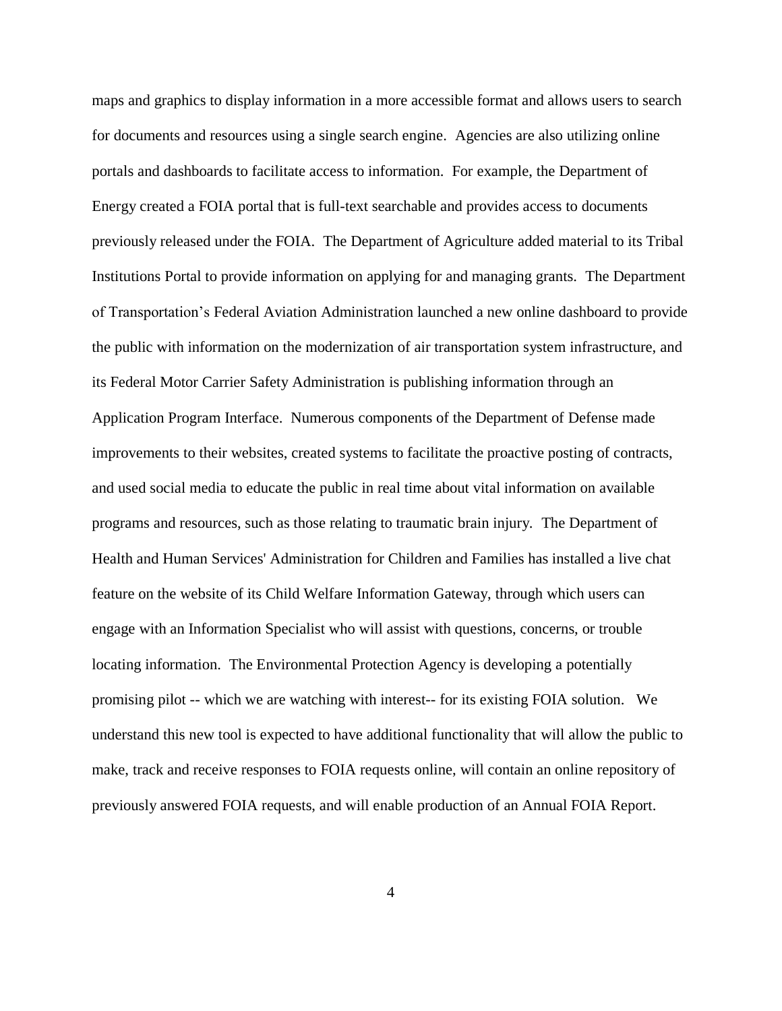maps and graphics to display information in a more accessible format and allows users to search for documents and resources using a single search engine. Agencies are also utilizing online portals and dashboards to facilitate access to information. For example, the Department of Energy created a FOIA portal that is full-text searchable and provides access to documents previously released under the FOIA. The Department of Agriculture added material to its Tribal Institutions Portal to provide information on applying for and managing grants. The Department of Transportation's Federal Aviation Administration launched a new online dashboard to provide the public with information on the modernization of air transportation system infrastructure, and its Federal Motor Carrier Safety Administration is publishing information through an Application Program Interface. Numerous components of the Department of Defense made improvements to their websites, created systems to facilitate the proactive posting of contracts, and used social media to educate the public in real time about vital information on available programs and resources, such as those relating to traumatic brain injury. The Department of Health and Human Services' Administration for Children and Families has installed a live chat feature on the website of its Child Welfare Information Gateway, through which users can engage with an Information Specialist who will assist with questions, concerns, or trouble locating information. The Environmental Protection Agency is developing a potentially promising pilot -- which we are watching with interest-- for its existing FOIA solution. We understand this new tool is expected to have additional functionality that will allow the public to make, track and receive responses to FOIA requests online, will contain an online repository of previously answered FOIA requests, and will enable production of an Annual FOIA Report.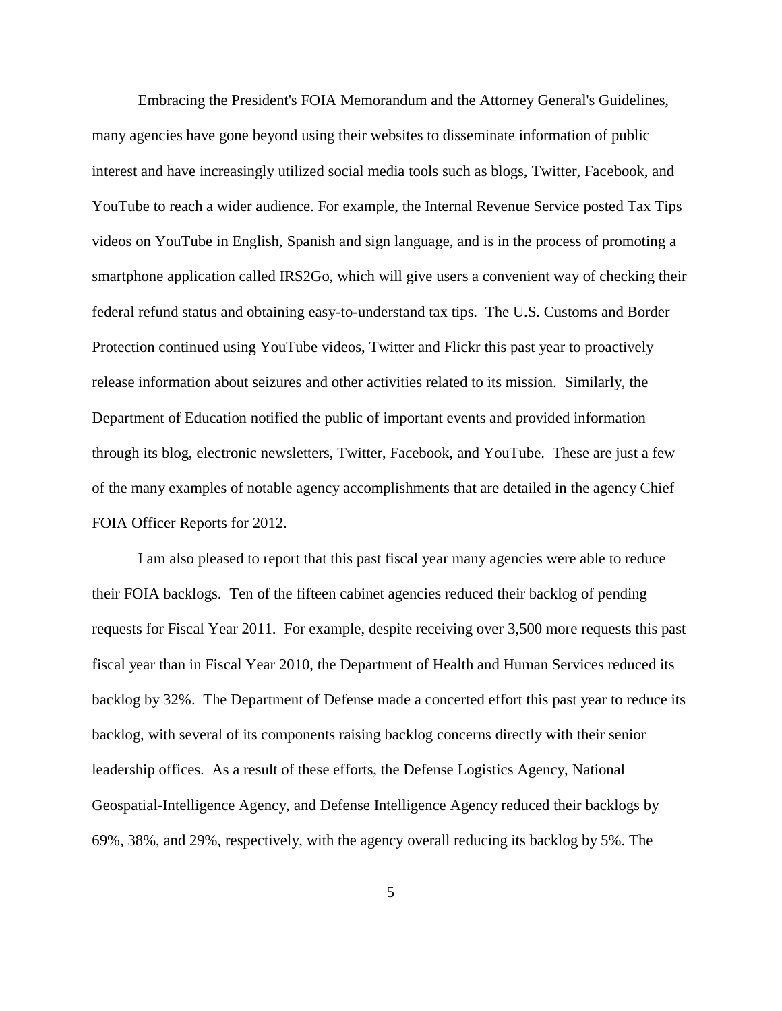Embracing the President's FOIA Memorandum and the Attorney General's Guidelines, many agencies have gone beyond using their websites to disseminate information of public interest and have increasingly utilized social media tools such as blogs, Twitter, Facebook, and YouTube to reach a wider audience. For example, the Internal Revenue Service posted Tax Tips videos on YouTube in English, Spanish and sign language, and is in the process of promoting a smartphone application called IRS2Go, which will give users a convenient way of checking their federal refund status and obtaining easy-to-understand tax tips. The U.S. Customs and Border Protection continued using YouTube videos, Twitter and Flickr this past year to proactively release information about seizures and other activities related to its mission. Similarly, the Department of Education notified the public of important events and provided information through its blog, electronic newsletters, Twitter, Facebook, and YouTube. These are just a few of the many examples of notable agency accomplishments that are detailed in the agency Chief FOIA Officer Reports for 2012.

I am also pleased to report that this past fiscal year many agencies were able to reduce their FOIA backlogs. Ten of the fifteen cabinet agencies reduced their backlog of pending requests for Fiscal Year 2011. For example, despite receiving over 3,500 more requests this past fiscal year than in Fiscal Year 2010, the Department of Health and Human Services reduced its backlog by 32%. The Department of Defense made a concerted effort this past year to reduce its backlog, with several of its components raising backlog concerns directly with their senior leadership offices. As a result of these efforts, the Defense Logistics Agency, National Geospatial-Intelligence Agency, and Defense Intelligence Agency reduced their backlogs by 69%, 38%, and 29%, respectively, with the agency overall reducing its backlog by 5%. The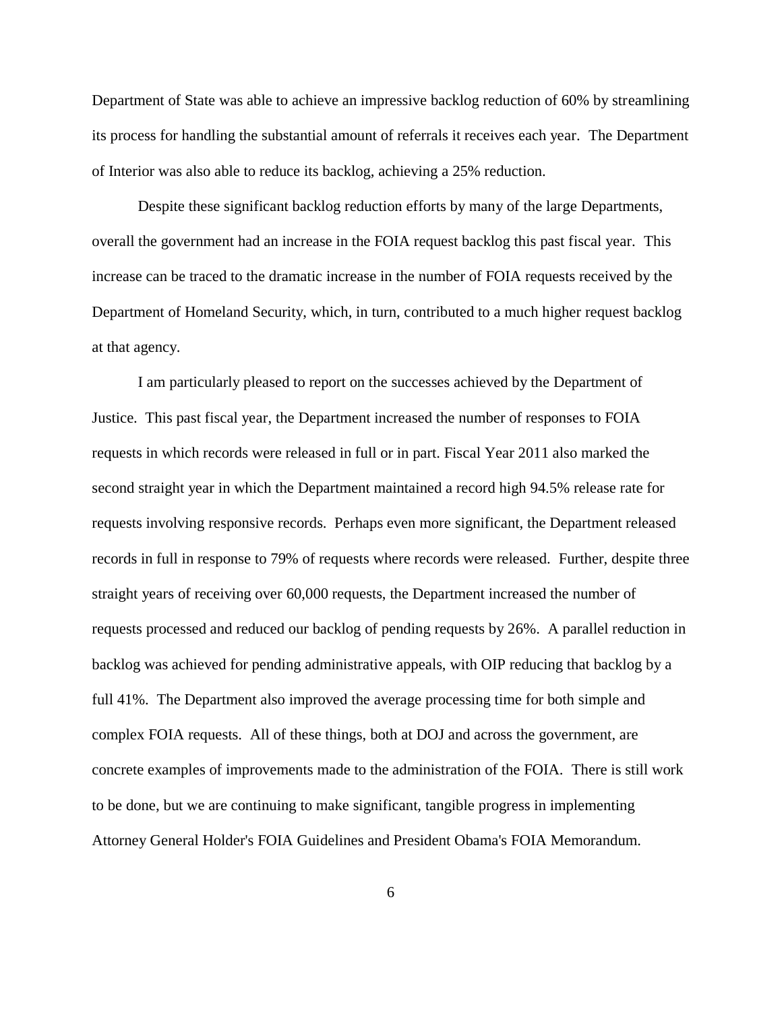Department of State was able to achieve an impressive backlog reduction of 60% by streamlining its process for handling the substantial amount of referrals it receives each year. The Department of Interior was also able to reduce its backlog, achieving a 25% reduction.

Despite these significant backlog reduction efforts by many of the large Departments, overall the government had an increase in the FOIA request backlog this past fiscal year. This increase can be traced to the dramatic increase in the number of FOIA requests received by the Department of Homeland Security, which, in turn, contributed to a much higher request backlog at that agency.

I am particularly pleased to report on the successes achieved by the Department of Justice. This past fiscal year, the Department increased the number of responses to FOIA requests in which records were released in full or in part. Fiscal Year 2011 also marked the second straight year in which the Department maintained a record high 94.5% release rate for requests involving responsive records. Perhaps even more significant, the Department released records in full in response to 79% of requests where records were released. Further, despite three straight years of receiving over 60,000 requests, the Department increased the number of requests processed and reduced our backlog of pending requests by 26%. A parallel reduction in backlog was achieved for pending administrative appeals, with OIP reducing that backlog by a full 41%. The Department also improved the average processing time for both simple and complex FOIA requests. All of these things, both at DOJ and across the government, are concrete examples of improvements made to the administration of the FOIA. There is still work to be done, but we are continuing to make significant, tangible progress in implementing Attorney General Holder's FOIA Guidelines and President Obama's FOIA Memorandum.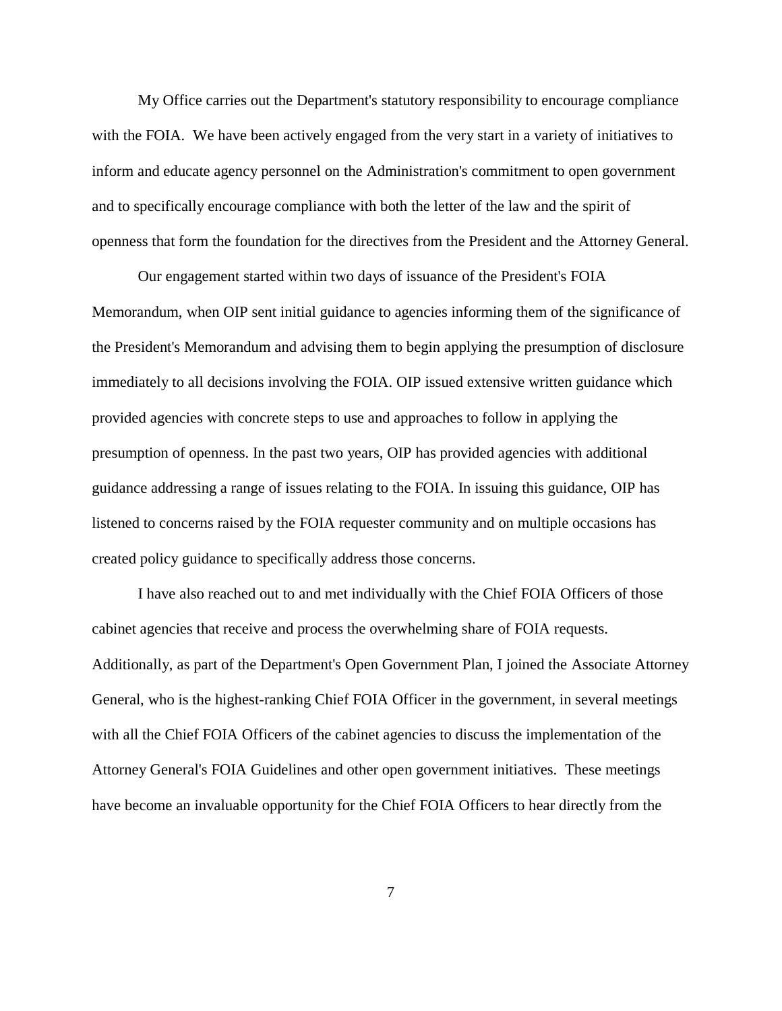My Office carries out the Department's statutory responsibility to encourage compliance with the FOIA. We have been actively engaged from the very start in a variety of initiatives to inform and educate agency personnel on the Administration's commitment to open government and to specifically encourage compliance with both the letter of the law and the spirit of openness that form the foundation for the directives from the President and the Attorney General.

Our engagement started within two days of issuance of the President's FOIA Memorandum, when OIP sent initial guidance to agencies informing them of the significance of the President's Memorandum and advising them to begin applying the presumption of disclosure immediately to all decisions involving the FOIA. OIP issued extensive written guidance which provided agencies with concrete steps to use and approaches to follow in applying the presumption of openness. In the past two years, OIP has provided agencies with additional guidance addressing a range of issues relating to the FOIA. In issuing this guidance, OIP has listened to concerns raised by the FOIA requester community and on multiple occasions has created policy guidance to specifically address those concerns.

I have also reached out to and met individually with the Chief FOIA Officers of those cabinet agencies that receive and process the overwhelming share of FOIA requests. Additionally, as part of the Department's Open Government Plan, I joined the Associate Attorney General, who is the highest-ranking Chief FOIA Officer in the government, in several meetings with all the Chief FOIA Officers of the cabinet agencies to discuss the implementation of the Attorney General's FOIA Guidelines and other open government initiatives. These meetings have become an invaluable opportunity for the Chief FOIA Officers to hear directly from the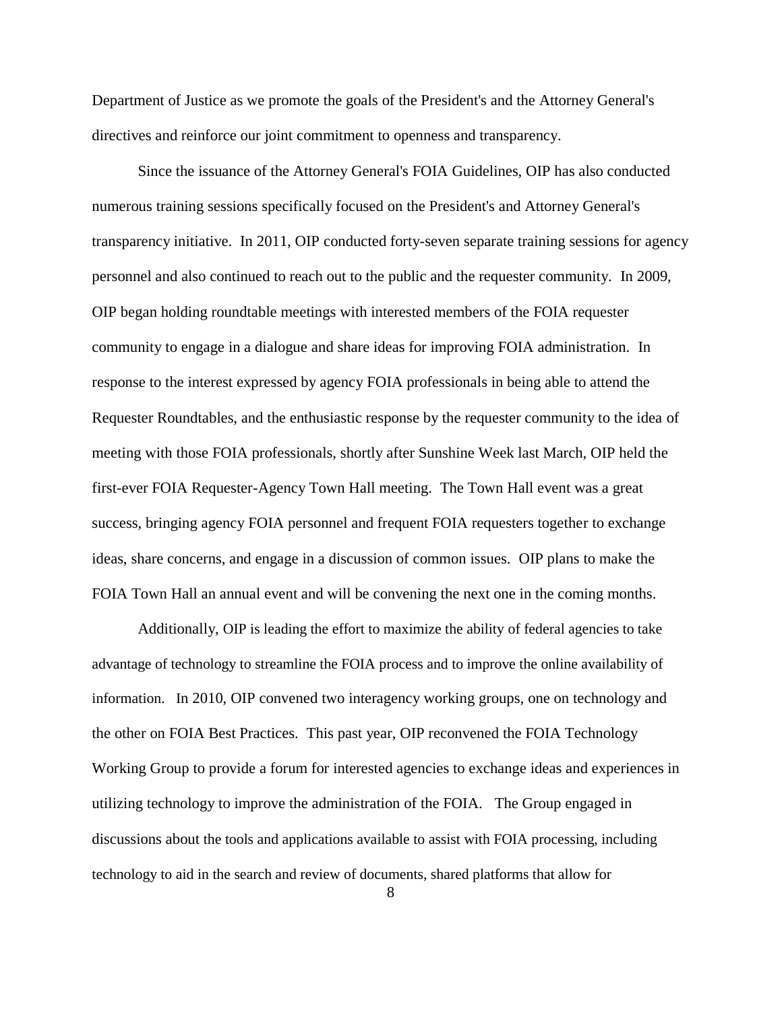Department of Justice as we promote the goals of the President's and the Attorney General's directives and reinforce our joint commitment to openness and transparency.

Since the issuance of the Attorney General's FOIA Guidelines, OIP has also conducted numerous training sessions specifically focused on the President's and Attorney General's transparency initiative. In 2011, OIP conducted forty-seven separate training sessions for agency personnel and also continued to reach out to the public and the requester community. In 2009, OIP began holding roundtable meetings with interested members of the FOIA requester community to engage in a dialogue and share ideas for improving FOIA administration. In response to the interest expressed by agency FOIA professionals in being able to attend the Requester Roundtables, and the enthusiastic response by the requester community to the idea of meeting with those FOIA professionals, shortly after Sunshine Week last March, OIP held the first-ever FOIA Requester-Agency Town Hall meeting. The Town Hall event was a great success, bringing agency FOIA personnel and frequent FOIA requesters together to exchange ideas, share concerns, and engage in a discussion of common issues. OIP plans to make the FOIA Town Hall an annual event and will be convening the next one in the coming months.

Additionally, OIP is leading the effort to maximize the ability of federal agencies to take advantage of technology to streamline the FOIA process and to improve the online availability of information. In 2010, OIP convened two interagency working groups, one on technology and the other on FOIA Best Practices. This past year, OIP reconvened the FOIA Technology Working Group to provide a forum for interested agencies to exchange ideas and experiences in utilizing technology to improve the administration of the FOIA. The Group engaged in discussions about the tools and applications available to assist with FOIA processing, including technology to aid in the search and review of documents, shared platforms that allow for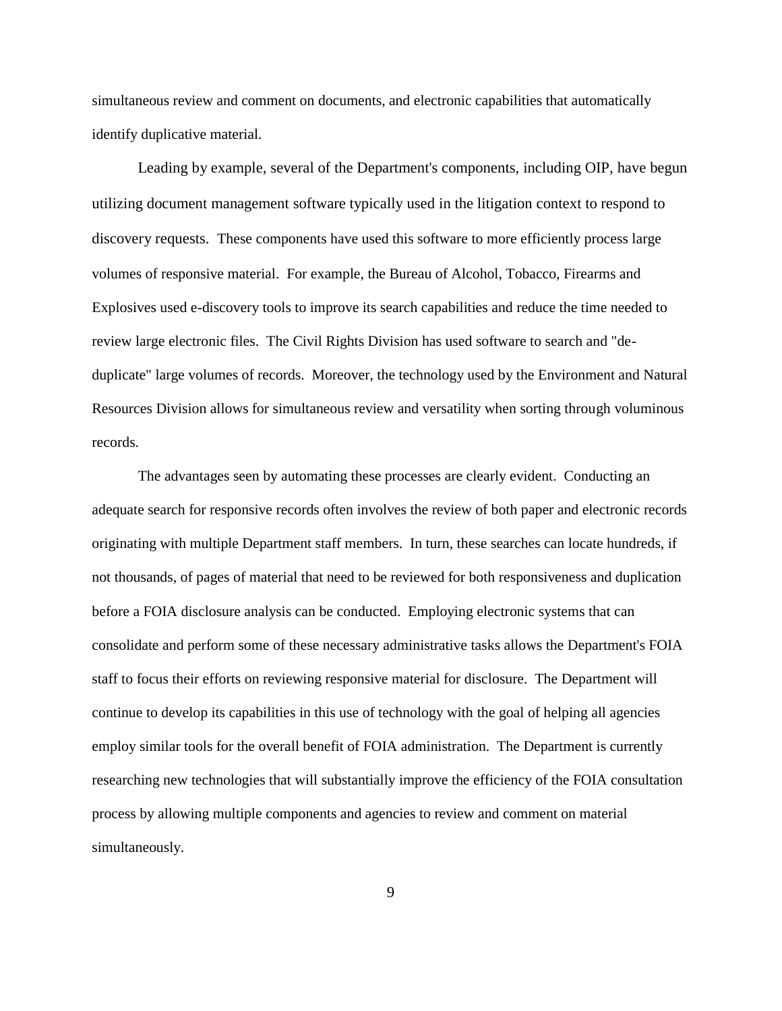simultaneous review and comment on documents, and electronic capabilities that automatically identify duplicative material.

Leading by example, several of the Department's components, including OIP, have begun utilizing document management software typically used in the litigation context to respond to discovery requests. These components have used this software to more efficiently process large volumes of responsive material. For example, the Bureau of Alcohol, Tobacco, Firearms and Explosives used e-discovery tools to improve its search capabilities and reduce the time needed to review large electronic files. The Civil Rights Division has used software to search and "deduplicate" large volumes of records. Moreover, the technology used by the Environment and Natural Resources Division allows for simultaneous review and versatility when sorting through voluminous records.

The advantages seen by automating these processes are clearly evident. Conducting an adequate search for responsive records often involves the review of both paper and electronic records originating with multiple Department staff members. In turn, these searches can locate hundreds, if not thousands, of pages of material that need to be reviewed for both responsiveness and duplication before a FOIA disclosure analysis can be conducted. Employing electronic systems that can consolidate and perform some of these necessary administrative tasks allows the Department's FOIA staff to focus their efforts on reviewing responsive material for disclosure. The Department will continue to develop its capabilities in this use of technology with the goal of helping all agencies employ similar tools for the overall benefit of FOIA administration. The Department is currently researching new technologies that will substantially improve the efficiency of the FOIA consultation process by allowing multiple components and agencies to review and comment on material simultaneously.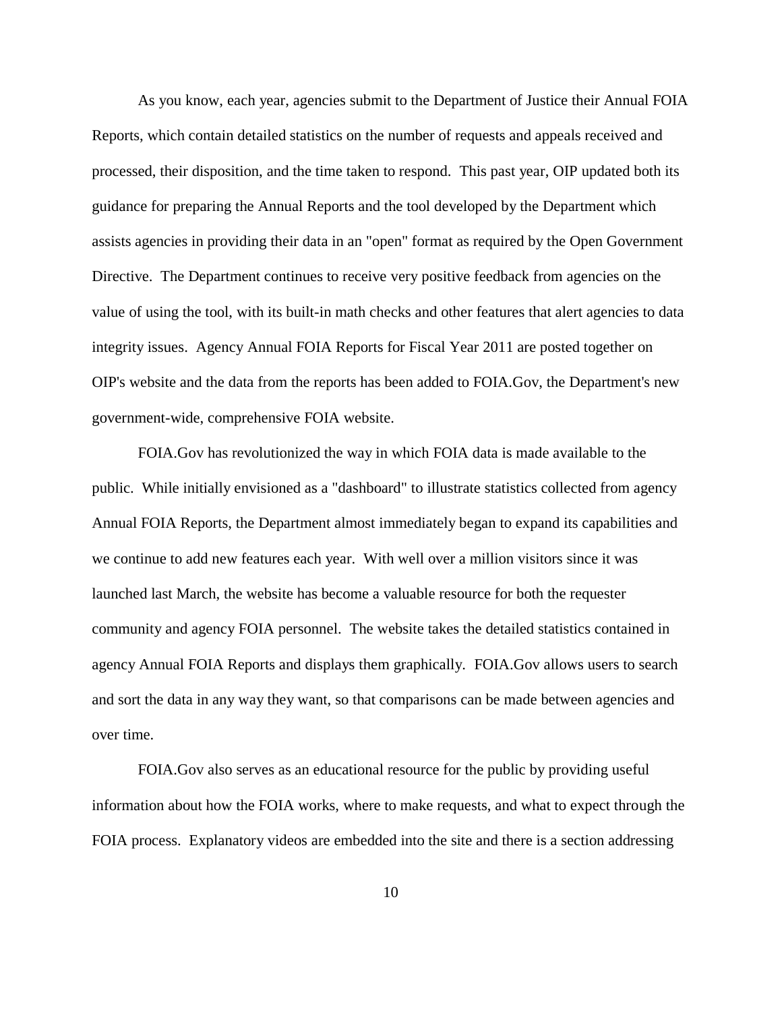As you know, each year, agencies submit to the Department of Justice their Annual FOIA Reports, which contain detailed statistics on the number of requests and appeals received and processed, their disposition, and the time taken to respond. This past year, OIP updated both its guidance for preparing the Annual Reports and the tool developed by the Department which assists agencies in providing their data in an "open" format as required by the Open Government Directive. The Department continues to receive very positive feedback from agencies on the value of using the tool, with its built-in math checks and other features that alert agencies to data integrity issues. Agency Annual FOIA Reports for Fiscal Year 2011 are posted together on OIP's website and the data from the reports has been added to FOIA.Gov, the Department's new government-wide, comprehensive FOIA website.

FOIA.Gov has revolutionized the way in which FOIA data is made available to the public. While initially envisioned as a "dashboard" to illustrate statistics collected from agency Annual FOIA Reports, the Department almost immediately began to expand its capabilities and we continue to add new features each year. With well over a million visitors since it was launched last March, the website has become a valuable resource for both the requester community and agency FOIA personnel. The website takes the detailed statistics contained in agency Annual FOIA Reports and displays them graphically. FOIA.Gov allows users to search and sort the data in any way they want, so that comparisons can be made between agencies and over time.

FOIA.Gov also serves as an educational resource for the public by providing useful information about how the FOIA works, where to make requests, and what to expect through the FOIA process. Explanatory videos are embedded into the site and there is a section addressing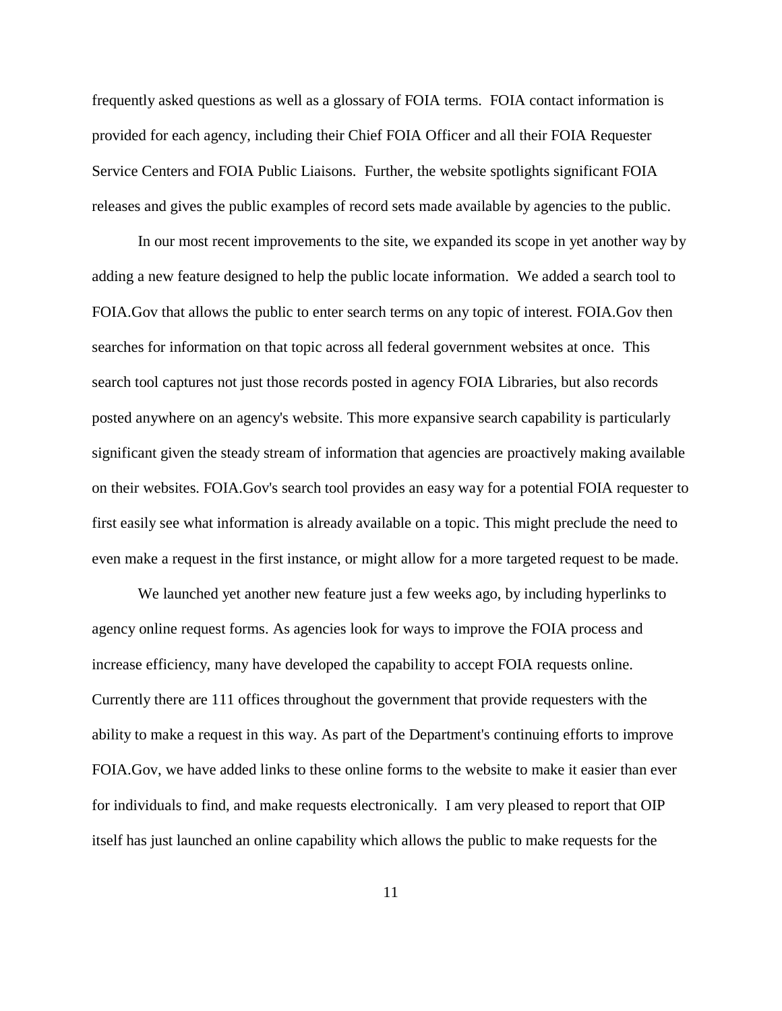frequently asked questions as well as a glossary of FOIA terms. FOIA contact information is provided for each agency, including their Chief FOIA Officer and all their FOIA Requester Service Centers and FOIA Public Liaisons. Further, the website spotlights significant FOIA releases and gives the public examples of record sets made available by agencies to the public.

In our most recent improvements to the site, we expanded its scope in yet another way by adding a new feature designed to help the public locate information. We added a search tool to FOIA.Gov that allows the public to enter search terms on any topic of interest. FOIA.Gov then searches for information on that topic across all federal government websites at once. This search tool captures not just those records posted in agency FOIA Libraries, but also records posted anywhere on an agency's website. This more expansive search capability is particularly significant given the steady stream of information that agencies are proactively making available on their websites. FOIA.Gov's search tool provides an easy way for a potential FOIA requester to first easily see what information is already available on a topic. This might preclude the need to even make a request in the first instance, or might allow for a more targeted request to be made.

We launched yet another new feature just a few weeks ago, by including hyperlinks to agency online request forms. As agencies look for ways to improve the FOIA process and increase efficiency, many have developed the capability to accept FOIA requests online. Currently there are 111 offices throughout the government that provide requesters with the ability to make a request in this way. As part of the Department's continuing efforts to improve FOIA.Gov, we have added links to these online forms to the website to make it easier than ever for individuals to find, and make requests electronically. I am very pleased to report that OIP itself has just launched an online capability which allows the public to make requests for the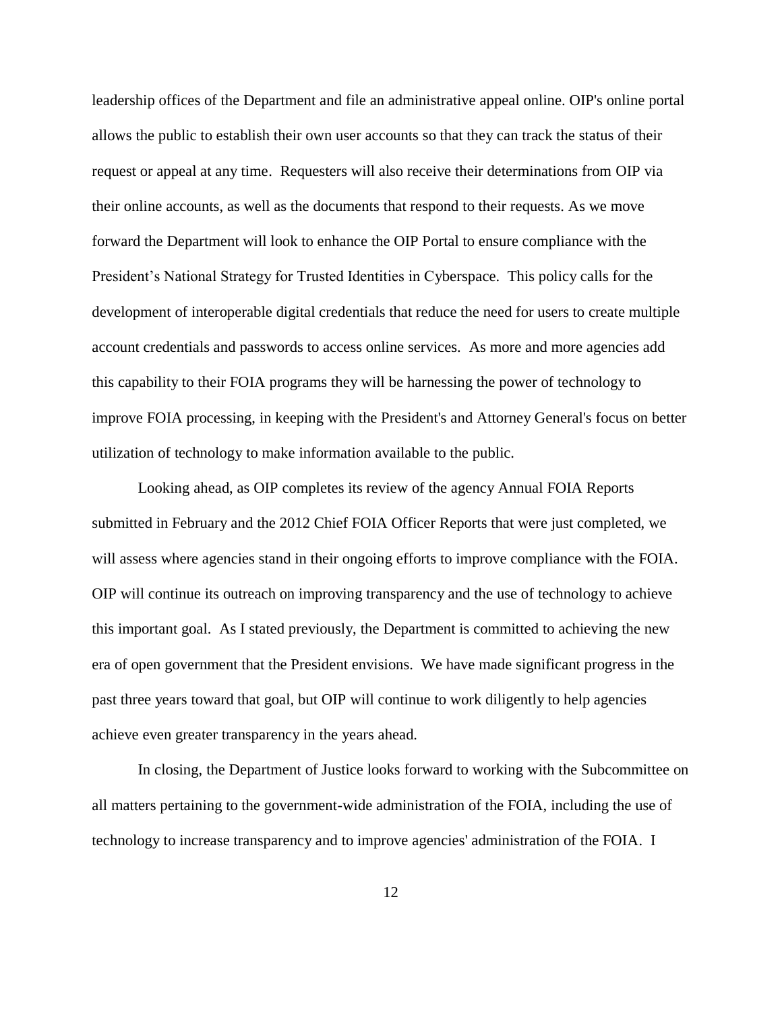leadership offices of the Department and file an administrative appeal online. OIP's online portal allows the public to establish their own user accounts so that they can track the status of their request or appeal at any time. Requesters will also receive their determinations from OIP via their online accounts, as well as the documents that respond to their requests. As we move forward the Department will look to enhance the OIP Portal to ensure compliance with the President's National Strategy for Trusted Identities in Cyberspace. This policy calls for the development of interoperable digital credentials that reduce the need for users to create multiple account credentials and passwords to access online services. As more and more agencies add this capability to their FOIA programs they will be harnessing the power of technology to improve FOIA processing, in keeping with the President's and Attorney General's focus on better utilization of technology to make information available to the public.

Looking ahead, as OIP completes its review of the agency Annual FOIA Reports submitted in February and the 2012 Chief FOIA Officer Reports that were just completed, we will assess where agencies stand in their ongoing efforts to improve compliance with the FOIA. OIP will continue its outreach on improving transparency and the use of technology to achieve this important goal. As I stated previously, the Department is committed to achieving the new era of open government that the President envisions. We have made significant progress in the past three years toward that goal, but OIP will continue to work diligently to help agencies achieve even greater transparency in the years ahead.

In closing, the Department of Justice looks forward to working with the Subcommittee on all matters pertaining to the government-wide administration of the FOIA, including the use of technology to increase transparency and to improve agencies' administration of the FOIA. I